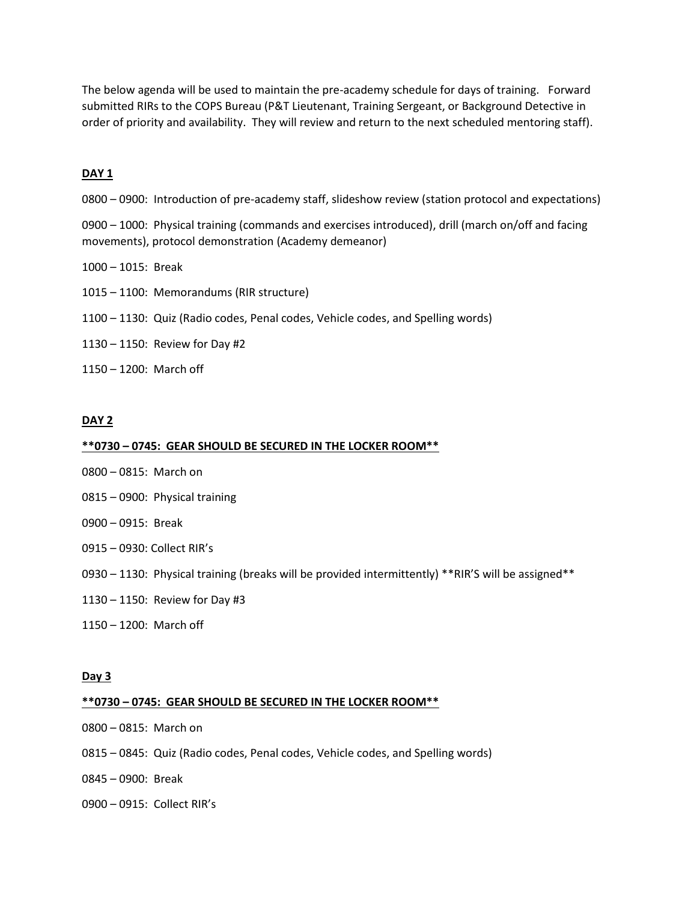The below agenda will be used to maintain the pre-academy schedule for days of training. Forward submitted RIRs to the COPS Bureau (P&T Lieutenant, Training Sergeant, or Background Detective in order of priority and availability. They will review and return to the next scheduled mentoring staff).

# **DAY 1**

– 0900: Introduction of pre-academy staff, slideshow review (station protocol and expectations)

– 1000: Physical training (commands and exercises introduced), drill (march on/off and facing movements), protocol demonstration (Academy demeanor)

- 1015: Break
- 1100: Memorandums (RIR structure)
- 1130: Quiz (Radio codes, Penal codes, Vehicle codes, and Spelling words)
- 1150: Review for Day #2
- 1200: March off

# **DAY 2**

#### **\*\*0730 – 0745: GEAR SHOULD BE SECURED IN THE LOCKER ROOM\*\***

- 0815: March on
- 0900: Physical training
- 0915: Break
- 0930: Collect RIR's
- 1130: Physical training (breaks will be provided intermittently) \*\*RIR'S will be assigned\*\*
- 1150: Review for Day #3
- 1200: March off

### **Day 3**

#### **\*\*0730 – 0745: GEAR SHOULD BE SECURED IN THE LOCKER ROOM\*\***

- 0815: March on
- 0845: Quiz (Radio codes, Penal codes, Vehicle codes, and Spelling words)
- 0900: Break
- 0915: Collect RIR's